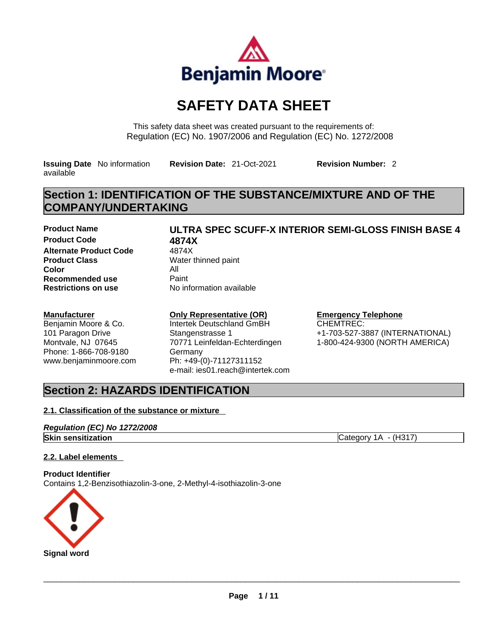

# **SAFETY DATA SHEET**

This safety data sheet was created pursuant to the requirements of: Regulation (EC) No. 1907/2006 and Regulation (EC) No. 1272/2008

**Issuing Date** No information available

**Revision Date:** 21-Oct-2021 **Revision Number:** 2

# **Section 1: IDENTIFICATION OF THE SUBSTANCE/MIXTURE AND OF THE COMPANY/UNDERTAKING**

**Product Name ULTRA SPEC SCUFF-X INTERIOR SEMI-GLOSS FINISH BASE 4 Product Code 6874X**<br>**Alternate Product Code** 4874X **Alternate Product Code Product Class Water thinned paint Color** All **Recommended use** Paint<br> **Restrictions on use** No in

**Restrictions on use** No information available

## **Manufacturer**

Benjamin Moore & Co. 101 Paragon Drive Montvale, NJ 07645 Phone: 1-866-708-9180 www.benjaminmoore.com **Only Representative (OR)** Intertek Deutschland GmBH Stangenstrasse 1 70771 Leinfeldan-Echterdingen Germany Ph: +49-(0)-71127311152 e-mail: ies01.reach@intertek.com

#### **Emergency Telephone**

CHEMTREC: +1-703-527-3887 (INTERNATIONAL) 1-800-424-9300 (NORTH AMERICA)

# **Section 2: HAZARDS IDENTIFICATION**

### **2.1. Classification of the substance or mixture**

#### *Regulation (EC) No 1272/2008* **Skin sensitization** Category 1A - (H317)

### **2.2. Label elements**

**Product Identifier** Contains 1,2-Benzisothiazolin-3-one, 2-Methyl-4-isothiazolin-3-one

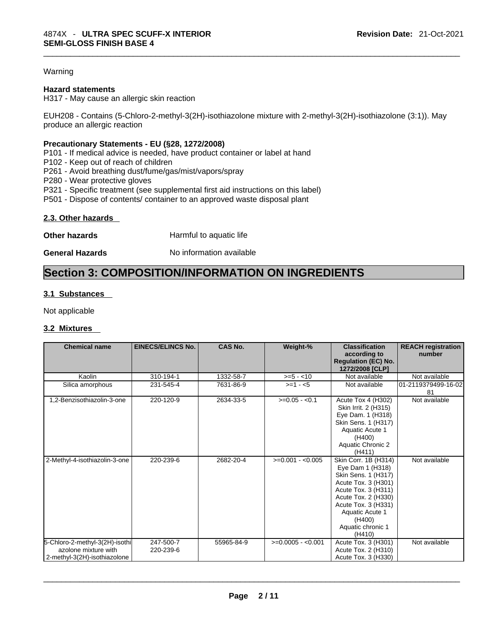#### Warning

#### **Hazard statements**

H317 - May cause an allergic skin reaction

EUH208 - Contains (5-Chloro-2-methyl-3(2H)-isothiazolone mixture with 2-methyl-3(2H)-isothiazolone (3:1)). May produce an allergic reaction

#### **Precautionary Statements - EU (§28, 1272/2008)**

P101 - If medical advice is needed, have product container or label at hand

- P102 Keep out of reach of children
- P261 Avoid breathing dust/fume/gas/mist/vapors/spray
- P280 Wear protective gloves
- P321 Specific treatment (see supplemental first aid instructions on this label)
- P501 Dispose of contents/ container to an approved waste disposal plant

#### **2.3. Other hazards**

**Other hazards Harmful to aquatic life** 

**General Hazards No information available** 

# **Section 3: COMPOSITION/INFORMATION ON INGREDIENTS**

#### **3.1 Substances**

Not applicable

#### **3.2 Mixtures**

| <b>Chemical name</b>                                                                   | <b>EINECS/ELINCS No.</b> | <b>CAS No.</b> | Weight-%           | <b>Classification</b><br>according to<br><b>Regulation (EC) No.</b><br>1272/2008 [CLP]                                                                                                                                         | <b>REACH registration</b><br>number |
|----------------------------------------------------------------------------------------|--------------------------|----------------|--------------------|--------------------------------------------------------------------------------------------------------------------------------------------------------------------------------------------------------------------------------|-------------------------------------|
| Kaolin                                                                                 | 310-194-1                | 1332-58-7      | $>= 5 - 10$        | Not available                                                                                                                                                                                                                  | Not available                       |
| Silica amorphous                                                                       | 231-545-4                | 7631-86-9      | $>=1 - 5$          | Not available                                                                                                                                                                                                                  | 01-2119379499-16-02<br>81           |
| 1,2-Benzisothiazolin-3-one                                                             | 220-120-9                | 2634-33-5      | $>=0.05 - 0.1$     | Acute Tox 4 (H302)<br>Skin Irrit. 2 (H315)<br>Eye Dam. 1 (H318)<br>Skin Sens. 1 (H317)<br>Aquatic Acute 1<br>(H400)<br>Aquatic Chronic 2<br>(H411)                                                                             | Not available                       |
| 2-Methyl-4-isothiazolin-3-one                                                          | 220-239-6                | 2682-20-4      | $>=0.001 - 0.005$  | Skin Corr. 1B (H314)<br>Eye Dam 1 (H318)<br>Skin Sens. 1 (H317)<br>Acute Tox. 3 (H301)<br>Acute Tox. 3 (H311)<br>Acute Tox. 2 (H330)<br>Acute Tox. 3 (H331)<br><b>Aquatic Acute 1</b><br>(H400)<br>Aquatic chronic 1<br>(H410) | Not available                       |
| 5-Chloro-2-methyl-3(2H)-isothi<br>azolone mixture with<br>2-methyl-3(2H)-isothiazolone | 247-500-7<br>220-239-6   | 55965-84-9     | $>=0.0005 - 0.001$ | Acute Tox. 3 (H301)<br>Acute Tox. 2 (H310)<br>Acute Tox. 3 (H330)                                                                                                                                                              | Not available                       |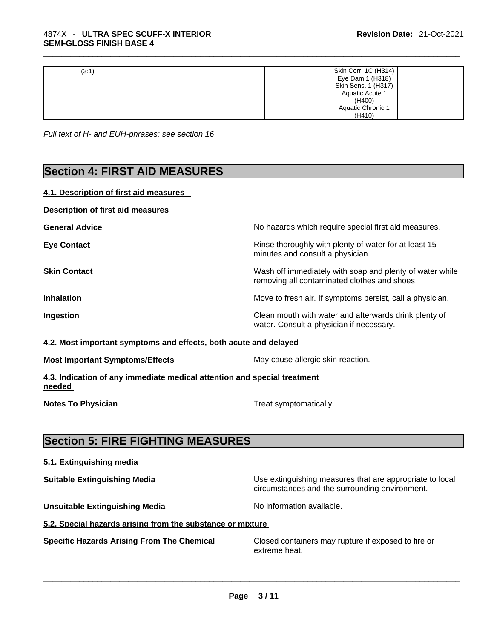| (3:1) | Skin Corr. 1C (H314) |
|-------|----------------------|
|       | Eye Dam 1 (H318)     |
|       | Skin Sens. 1 (H317)  |
|       | Aquatic Acute 1      |
|       | (H400)               |
|       | Aquatic Chronic 1    |
|       | (H410)               |

*Full text of H- and EUH-phrases: see section 16* 

# **Section 4: FIRST AID MEASURES**

| 4.1. Description of first aid measures                           |                                                                                                          |
|------------------------------------------------------------------|----------------------------------------------------------------------------------------------------------|
| Description of first aid measures                                |                                                                                                          |
| <b>General Advice</b>                                            | No hazards which require special first aid measures.                                                     |
| <b>Eye Contact</b>                                               | Rinse thoroughly with plenty of water for at least 15<br>minutes and consult a physician.                |
| <b>Skin Contact</b>                                              | Wash off immediately with soap and plenty of water while<br>removing all contaminated clothes and shoes. |
| <b>Inhalation</b>                                                | Move to fresh air. If symptoms persist, call a physician.                                                |
| Ingestion                                                        | Clean mouth with water and afterwards drink plenty of<br>water. Consult a physician if necessary.        |
| 4.2. Most important symptoms and effects, both acute and delayed |                                                                                                          |
| Most been antant Commission (Effects)                            | المتماشق والمتماز والمستمر والمراري والمستحدث والمساري                                                   |

## **Most Important Symptoms/Effects** May cause allergic skin reaction.

**4.3. Indication of any immediate medical attention and special treatment needed** 

**Notes To Physician** Motes To Physician Treat symptomatically.

# **Section 5: FIRE FIGHTING MEASURES**

| 5.1. Extinguishing media |
|--------------------------|
|--------------------------|

**Suitable Extinguishing Media** Media Use extinguishing measures that are appropriate to local circumstances and the surrounding environment.

**Unsuitable Extinguishing Media** Noinformation available.

**5.2. Special hazards arising from the substance or mixture**

**Specific Hazards Arising From The Chemical Closed containers may rupture if exposed to fire or extreme heat.** extreme heat. \_\_\_\_\_\_\_\_\_\_\_\_\_\_\_\_\_\_\_\_\_\_\_\_\_\_\_\_\_\_\_\_\_\_\_\_\_\_\_\_\_\_\_\_\_\_\_\_\_\_\_\_\_\_\_\_\_\_\_\_\_\_\_\_\_\_\_\_\_\_\_\_\_\_\_\_\_\_\_\_\_\_\_\_\_\_\_\_\_\_\_\_\_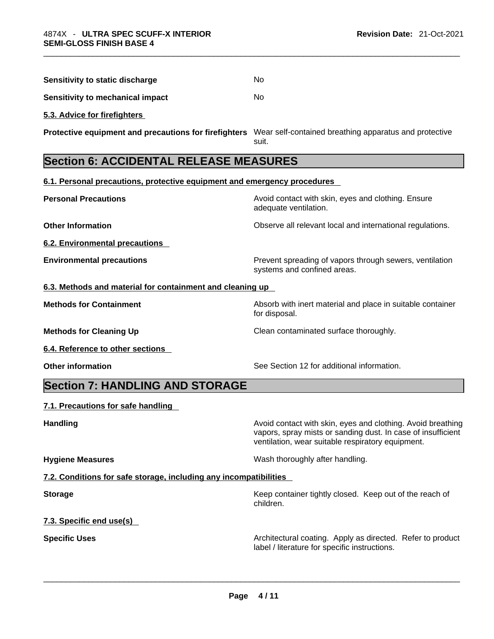| Sensitivity to static discharge  | No. |
|----------------------------------|-----|
| Sensitivity to mechanical impact | No. |

**5.3. Advice for firefighters** 

**Protective equipment and precautions for firefighters** Wear self-contained breathing apparatus and protective suit.

# **Section 6: ACCIDENTAL RELEASE MEASURES**

**6.1. Personal precautions, protective equipment and emergency procedures**

| www.marenovement.com/www.marenovement.com/www.marenovement.com/www.marenovement.com/www.marenovement.com/ |                                                                                        |
|-----------------------------------------------------------------------------------------------------------|----------------------------------------------------------------------------------------|
| <b>Personal Precautions</b>                                                                               | Avoid contact with skin, eyes and clothing. Ensure<br>adequate ventilation.            |
| <b>Other Information</b>                                                                                  | Observe all relevant local and international regulations.                              |
| 6.2. Environmental precautions                                                                            |                                                                                        |
| <b>Environmental precautions</b>                                                                          | Prevent spreading of vapors through sewers, ventilation<br>systems and confined areas. |
| 6.3. Methods and material for containment and cleaning up                                                 |                                                                                        |
| <b>Methods for Containment</b>                                                                            | Absorb with inert material and place in suitable container<br>for disposal.            |
| <b>Methods for Cleaning Up</b>                                                                            | Clean contaminated surface thoroughly.                                                 |
| 6.4. Reference to other sections                                                                          |                                                                                        |
| <b>Other information</b>                                                                                  | See Section 12 for additional information.                                             |
| Section 7: HANDI ING AND STORAGE                                                                          |                                                                                        |

## **Section 7: HANDLING AND STORAGE**

#### **7.1. Precautions for safe handling**

**Handling Handling Avoid contact with skin, eyes and clothing. Avoid breathing** 

**Hygiene Measures**  Wash thoroughly after handling.

**7.2. Conditions for safe storage, including any incompatibilities**

**Storage Storage Keep container tightly closed. Keep out of the reach of <b>Storage Keep** out of the reach of children.

vapors, spray mists or sanding dust. In case of insufficient

ventilation, wear suitable respiratory equipment.

**7.3. Specific end use(s)** 

**Specific Uses Architectural coating. Apply as directed. Refer to product and product** and a label / literature for specific instructions. label / literature for specific instructions. \_\_\_\_\_\_\_\_\_\_\_\_\_\_\_\_\_\_\_\_\_\_\_\_\_\_\_\_\_\_\_\_\_\_\_\_\_\_\_\_\_\_\_\_\_\_\_\_\_\_\_\_\_\_\_\_\_\_\_\_\_\_\_\_\_\_\_\_\_\_\_\_\_\_\_\_\_\_\_\_\_\_\_\_\_\_\_\_\_\_\_\_\_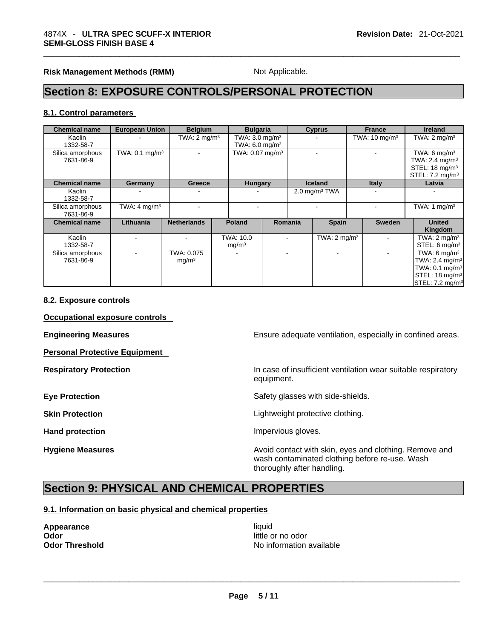**Risk Management Methods (RMM)** Not Applicable.

# **Section 8: EXPOSURE CONTROLS/PERSONAL PROTECTION**

#### **8.1. Control parameters**

| <b>Chemical name</b>          | <b>European Union</b>        | <b>Belgium</b>          |  | <b>Bulgaria</b>             |  |                | <b>Cyprus</b>            | <b>France</b>            | <b>Ireland</b>              |
|-------------------------------|------------------------------|-------------------------|--|-----------------------------|--|----------------|--------------------------|--------------------------|-----------------------------|
| Kaolin                        |                              | TWA: $2 \text{ mq/m}^3$ |  | TWA: $3.0 \text{ mg/m}^3$   |  |                |                          | TWA: $10 \text{ mg/m}^3$ | TWA: $2 \text{ mg/m}^3$     |
| 1332-58-7                     |                              |                         |  | TWA: $6.0 \text{ mg/m}^3$   |  |                |                          |                          |                             |
| Silica amorphous              | TWA: $0.1$ mg/m <sup>3</sup> |                         |  | TWA: 0.07 mg/m <sup>3</sup> |  |                |                          |                          | TWA: 6 mg/m <sup>3</sup>    |
| 7631-86-9                     |                              |                         |  |                             |  |                |                          |                          | TWA: 2.4 mg/m <sup>3</sup>  |
|                               |                              |                         |  |                             |  |                |                          |                          | STEL: $18 \text{ mg/m}^3$   |
|                               |                              |                         |  |                             |  |                |                          |                          | STEL: 7.2 mg/m <sup>3</sup> |
| <b>Chemical name</b>          | Germany                      | <b>Greece</b>           |  | <b>Hungary</b>              |  |                | <b>Iceland</b>           | <b>Italy</b>             | Latvia                      |
| Kaolin<br>1332-58-7           |                              |                         |  |                             |  |                | $2.0 \text{ mg/m}^3$ TWA |                          |                             |
| Silica amorphous<br>7631-86-9 | TWA: $4 \text{ mg/m}^3$      |                         |  |                             |  |                |                          |                          | TWA: 1 $mg/m3$              |
| <b>Chemical name</b>          | Lithuania                    | <b>Netherlands</b>      |  | <b>Poland</b>               |  | <b>Romania</b> | <b>Spain</b>             | <b>Sweden</b>            | <b>United</b><br>Kingdom    |
| Kaolin                        |                              |                         |  | TWA: 10.0                   |  |                | TWA: $2 \text{ mq/m}^3$  |                          | TWA: $2 \text{ mq/m}^3$     |
| 1332-58-7                     |                              |                         |  | mg/m <sup>3</sup>           |  |                |                          |                          | STEL: $6 \text{ mg/m}^3$    |
| Silica amorphous              |                              | TWA: 0.075              |  |                             |  |                |                          |                          | TWA: 6 mg/m $3$             |
| 7631-86-9                     |                              | mq/m <sup>3</sup>       |  |                             |  |                |                          |                          | TWA: 2.4 mg/m <sup>3</sup>  |
|                               |                              |                         |  |                             |  |                |                          |                          | TWA: $0.1 \text{ mg/m}^3$   |
|                               |                              |                         |  |                             |  |                |                          |                          | STEL: 18 mg/m <sup>3</sup>  |
|                               |                              |                         |  |                             |  |                |                          |                          | STEL: 7.2 mg/m <sup>3</sup> |

#### **8.2. Exposure controls**

**Occupational exposure controls** 

**Personal Protective Equipment** 

**Engineering Measures Ensure adequate ventilation, especially in confined areas.** 

**Respiratory Protection In case of insufficient ventilation wear suitable respiratory** equipment.

**Eye Protection <b>Exercise Safety glasses** with side-shields.

**Skin Protection Contract Contract Contract Contract Contract Contract Contract Contract Contract Contract Contract Contract Contract Contract Contract Contract Contract Contract Contract Contract Contract Contract Contr** 

**Hand protection Impervious gloves.** 

**Hygiene Measures Avoid contact with skin, eyes and clothing. Remove and Avoid contact with skin, eyes and clothing. Remove and** wash contaminated clothing before re-use. Wash thoroughly after handling.

# **Section 9: PHYSICAL AND CHEMICAL PROPERTIES**

#### **9.1. Information on basic physical and chemical properties**

**Appearance** liquid

**Odor**<br> **Odor Threshold**<br> **Odor Threshold CODOR CODOR CODOR CODOR CODOR CODOR CODOR CODOR CODOR CODOR CODOR CODOR CODOR CODOR CODOR CODOR CODOR CODOR CODOR CODOR Odor Threshold** No information available \_\_\_\_\_\_\_\_\_\_\_\_\_\_\_\_\_\_\_\_\_\_\_\_\_\_\_\_\_\_\_\_\_\_\_\_\_\_\_\_\_\_\_\_\_\_\_\_\_\_\_\_\_\_\_\_\_\_\_\_\_\_\_\_\_\_\_\_\_\_\_\_\_\_\_\_\_\_\_\_\_\_\_\_\_\_\_\_\_\_\_\_\_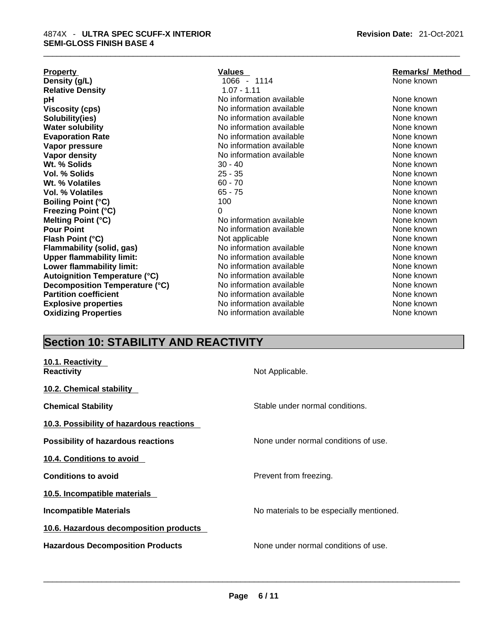| <b>Property</b>                      | Values                   | <b>Remarks/ Method</b> |
|--------------------------------------|--------------------------|------------------------|
| Density (g/L)                        | 1066 - 1114              | None known             |
| <b>Relative Density</b>              | $1.07 - 1.11$            |                        |
| рH                                   | No information available | None known             |
| <b>Viscosity (cps)</b>               | No information available | None known             |
| Solubility(ies)                      | No information available | None known             |
| <b>Water solubility</b>              | No information available | None known             |
| <b>Evaporation Rate</b>              | No information available | None known             |
| Vapor pressure                       | No information available | None known             |
| Vapor density                        | No information available | None known             |
| Wt. % Solids                         | $30 - 40$                | None known             |
| Vol. % Solids                        | $25 - 35$                | None known             |
| Wt. % Volatiles                      | $60 - 70$                | None known             |
| Vol. % Volatiles                     | $65 - 75$                | None known             |
| <b>Boiling Point (°C)</b>            | 100                      | None known             |
| <b>Freezing Point (°C)</b>           | 0                        | None known             |
| Melting Point (°C)                   | No information available | None known             |
| <b>Pour Point</b>                    | No information available | None known             |
| Flash Point (°C)                     | Not applicable           | None known             |
| <b>Flammability (solid, gas)</b>     | No information available | None known             |
| <b>Upper flammability limit:</b>     | No information available | None known             |
| Lower flammability limit:            | No information available | None known             |
| <b>Autoignition Temperature (°C)</b> | No information available | None known             |
| Decomposition Temperature (°C)       | No information available | None known             |
| <b>Partition coefficient</b>         | No information available | None known             |
| <b>Explosive properties</b>          | No information available | None known             |
| <b>Oxidizing Properties</b>          | No information available | None known             |
|                                      |                          |                        |

# **Section 10: STABILITY AND REACTIVITY**

| 10.1. Reactivity<br><b>Reactivity</b>     | Not Applicable.                          |
|-------------------------------------------|------------------------------------------|
| 10.2. Chemical stability                  |                                          |
| <b>Chemical Stability</b>                 | Stable under normal conditions.          |
| 10.3. Possibility of hazardous reactions  |                                          |
| <b>Possibility of hazardous reactions</b> | None under normal conditions of use.     |
| 10.4. Conditions to avoid                 |                                          |
| <b>Conditions to avoid</b>                | Prevent from freezing.                   |
| 10.5. Incompatible materials              |                                          |
| <b>Incompatible Materials</b>             | No materials to be especially mentioned. |
| 10.6. Hazardous decomposition products    |                                          |
| <b>Hazardous Decomposition Products</b>   | None under normal conditions of use.     |
|                                           |                                          |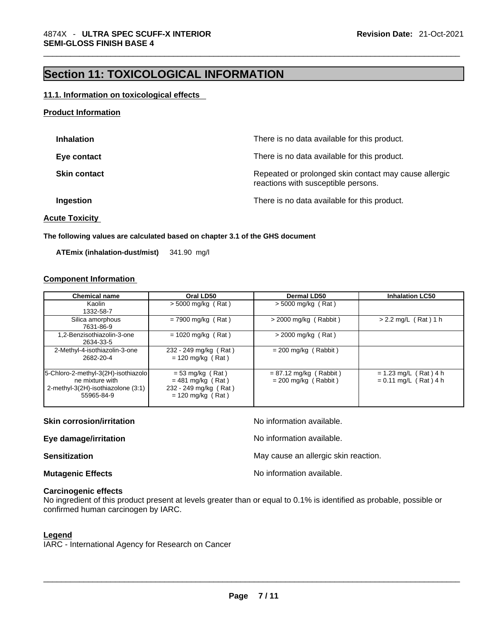# **Section 11: TOXICOLOGICAL INFORMATION**

#### **11.1. Information on toxicological effects**

#### **Product Information**

| <b>Inhalation</b>   | There is no data available for this product.                                                 |
|---------------------|----------------------------------------------------------------------------------------------|
| Eye contact         | There is no data available for this product.                                                 |
| <b>Skin contact</b> | Repeated or prolonged skin contact may cause allergic<br>reactions with susceptible persons. |
| Ingestion           | There is no data available for this product.                                                 |

**Acute Toxicity** 

**The following values are calculated based on chapter 3.1 of the GHS document**

**ATEmix (inhalation-dust/mist)** 341.90 mg/l

#### **Component Information**

| <b>Chemical name</b>                                                                                       | Oral LD50                                                                                 | Dermal LD50                                        | <b>Inhalation LC50</b>                             |
|------------------------------------------------------------------------------------------------------------|-------------------------------------------------------------------------------------------|----------------------------------------------------|----------------------------------------------------|
| Kaolin<br>1332-58-7                                                                                        | $>$ 5000 mg/kg (Rat)                                                                      | $>$ 5000 mg/kg (Rat)                               |                                                    |
| Silica amorphous<br>7631-86-9                                                                              | $= 7900$ mg/kg (Rat)                                                                      | $>$ 2000 mg/kg (Rabbit)                            | $> 2.2$ mg/L (Rat) 1 h                             |
| 1,2-Benzisothiazolin-3-one<br>2634-33-5                                                                    | $= 1020$ mg/kg (Rat)                                                                      | $>$ 2000 mg/kg (Rat)                               |                                                    |
| 2-Methyl-4-isothiazolin-3-one<br>2682-20-4                                                                 | 232 - 249 mg/kg (Rat)<br>$= 120$ mg/kg (Rat)                                              | $= 200$ mg/kg (Rabbit)                             |                                                    |
| 5-Chloro-2-methyl-3(2H)-isothiazolo<br>ne mixture with<br>2-methyl-3(2H)-isothiazolone (3:1)<br>55965-84-9 | $= 53$ mg/kg (Rat)<br>$= 481$ mg/kg (Rat)<br>232 - 249 mg/kg (Rat)<br>$= 120$ mg/kg (Rat) | $= 87.12$ mg/kg (Rabbit)<br>$= 200$ mg/kg (Rabbit) | $= 1.23$ mg/L (Rat) 4 h<br>$= 0.11$ mg/L (Rat) 4 h |

| <b>Skin corrosion/irritation</b> | No information available.            |
|----------------------------------|--------------------------------------|
| Eye damage/irritation            | No information available.            |
| <b>Sensitization</b>             | May cause an allergic skin reaction. |
| <b>Mutagenic Effects</b>         | No information available.            |

#### **Carcinogenic effects**

No ingredient of this product present at levels greater than or equal to 0.1% is identified as probable, possible or confirmed human carcinogen by IARC.

#### **Legend**

IARC - International Agency for Research on Cancer \_\_\_\_\_\_\_\_\_\_\_\_\_\_\_\_\_\_\_\_\_\_\_\_\_\_\_\_\_\_\_\_\_\_\_\_\_\_\_\_\_\_\_\_\_\_\_\_\_\_\_\_\_\_\_\_\_\_\_\_\_\_\_\_\_\_\_\_\_\_\_\_\_\_\_\_\_\_\_\_\_\_\_\_\_\_\_\_\_\_\_\_\_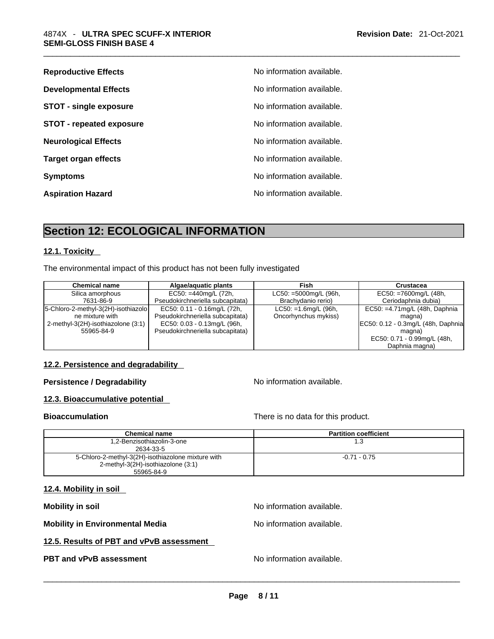#### \_\_\_\_\_\_\_\_\_\_\_\_\_\_\_\_\_\_\_\_\_\_\_\_\_\_\_\_\_\_\_\_\_\_\_\_\_\_\_\_\_\_\_\_\_\_\_\_\_\_\_\_\_\_\_\_\_\_\_\_\_\_\_\_\_\_\_\_\_\_\_\_\_\_\_\_\_\_\_\_\_\_\_\_\_\_\_\_\_\_\_\_\_ 4874X - **ULTRA SPEC SCUFF-X INTERIOR SEMI-GLOSS FINISH BASE 4**

| <b>Reproductive Effects</b>     | No information available. |
|---------------------------------|---------------------------|
| <b>Developmental Effects</b>    | No information available. |
| <b>STOT - single exposure</b>   | No information available. |
| <b>STOT - repeated exposure</b> | No information available. |
| <b>Neurological Effects</b>     | No information available. |
| <b>Target organ effects</b>     | No information available. |
| <b>Symptoms</b>                 | No information available. |
| <b>Aspiration Hazard</b>        | No information available. |

# **Section 12: ECOLOGICAL INFORMATION**

#### **12.1. Toxicity**

The environmental impact of this product has not been fully investigated

| <b>Chemical name</b>                | Algae/aguatic plants             | Fish                    | Crustacea                           |
|-------------------------------------|----------------------------------|-------------------------|-------------------------------------|
| Silica amorphous                    | $EC50: = 440$ mg/L (72h,         | $LC50: =5000mg/L (96h,$ | $EC50: = 7600mg/L (48h,$            |
| 7631-86-9                           | Pseudokirchneriella subcapitata) | Brachydanio rerio)      | Ceriodaphnia dubia)                 |
| 5-Chloro-2-methyl-3(2H)-isothiazolo | EC50: 0.11 - 0.16mg/L (72h,      | $LC50: =1.6$ mg/L (96h, | EC50: $=4.71$ mg/L (48h, Daphnia    |
| ne mixture with                     | Pseudokirchneriella subcapitata) | Oncorhynchus mykiss)    | magna)                              |
| 2-methyl-3(2H)-isothiazolone (3:1)  | EC50: 0.03 - 0.13mg/L (96h,      |                         | EC50: 0.12 - 0.3mg/L (48h, Daphnia) |
| 55965-84-9                          | Pseudokirchneriella subcapitata) |                         | magna)                              |
|                                     |                                  |                         | EC50: 0.71 - 0.99mg/L (48h,         |
|                                     |                                  |                         | Daphnia magna)                      |

#### **12.2. Persistence and degradability**

#### **Persistence / Degradability No information available.**

#### **12.3. Bioaccumulative potential**

**Bioaccumulation** There is no data for this product.

| <b>Chemical name</b>                               | <b>Partition coefficient</b> |
|----------------------------------------------------|------------------------------|
| 1.2-Benzisothiazolin-3-one                         |                              |
| 2634-33-5                                          |                              |
| 5-Chloro-2-methyl-3(2H)-isothiazolone mixture with | $-0.71 - 0.75$               |
| 2-methyl-3(2H)-isothiazolone (3:1)                 |                              |
| 55965-84-9                                         |                              |

#### **12.4. Mobility in soil**

**Mobility in soil Mobility in soil Mobility in soil** 

**Mobility in Environmental Media** Noinformation available.

#### **12.5. Results of PBT and vPvB assessment**

# **PBT and vPvB assessment** No information available. \_\_\_\_\_\_\_\_\_\_\_\_\_\_\_\_\_\_\_\_\_\_\_\_\_\_\_\_\_\_\_\_\_\_\_\_\_\_\_\_\_\_\_\_\_\_\_\_\_\_\_\_\_\_\_\_\_\_\_\_\_\_\_\_\_\_\_\_\_\_\_\_\_\_\_\_\_\_\_\_\_\_\_\_\_\_\_\_\_\_\_\_\_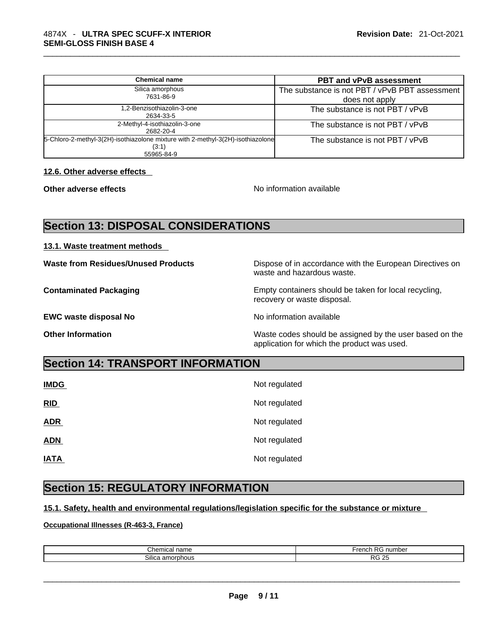| Chemical name                                                                            | <b>PBT and vPvB assessment</b>                 |
|------------------------------------------------------------------------------------------|------------------------------------------------|
| Silica amorphous<br>7631-86-9                                                            | The substance is not PBT / vPvB PBT assessment |
|                                                                                          | does not apply                                 |
| 1,2-Benzisothiazolin-3-one<br>2634-33-5                                                  | The substance is not PBT / vPvB                |
| 2-Methyl-4-isothiazolin-3-one<br>2682-20-4                                               | The substance is not PBT / vPvB                |
| 5-Chloro-2-methyl-3(2H)-isothiazolone mixture with 2-methyl-3(2H)-isothiazolone<br>(3:1) | The substance is not PBT / vPvB                |
| 55965-84-9                                                                               |                                                |

#### **12.6. Other adverse effects**

**Other adverse effects No information available No information available** 

# **Section 13: DISPOSAL CONSIDERATIONS**

**13.1. Waste treatment methods** 

**EWC waste disposal No** Noinformation available

**Waste from Residues/Unused Products** Dispose of in accordance with the European Directives on waste and hazardous waste.

**Contaminated Packaging Empty containers should be taken for local recycling,** recovery or waste disposal.

**Other Information** Waste codes should be assigned by the user based on the application for which the product was used.

# **Section 14: TRANSPORT INFORMATION**

| <b>IMDG</b> | Not regulated |
|-------------|---------------|
| RID         | Not regulated |
| <b>ADR</b>  | Not regulated |
| <b>ADN</b>  | Not regulated |
| <b>IATA</b> | Not regulated |

# **Section 15: REGULATORY INFORMATION**

**15.1. Safety, health and environmental regulations/legislation specific for the substance or mixture**

#### **Occupational Illnesses (R-463-3, France)**

| Chem<br>name<br>$\overline{\phantom{a}}$<br>шса | $r \sim r$<br>number<br>тепс |
|-------------------------------------------------|------------------------------|
| Silica                                          | $-$                          |
| $\sim$                                          | nr                           |
| - - - - .                                       | ںے                           |
| amorphous                                       | ╰                            |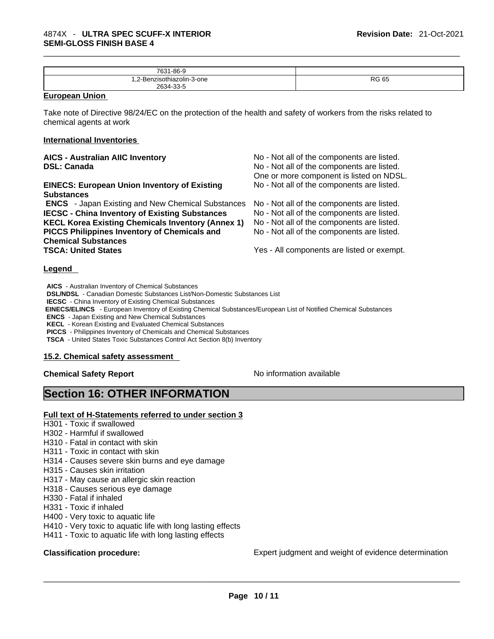| 7631-86-9                                                                                                   |                      |
|-------------------------------------------------------------------------------------------------------------|----------------------|
| $\sim$<br>-<br>.2-Benzisothiazolin-3-one<br>$\overline{\phantom{a}}$<br>__<br>$\Omega$<br>2634-<br>.<br>ູບບ | <b>RG 65</b><br>____ |

#### **European Union**

Take note of Directive 98/24/EC on the protection of the health and safety of workers from the risks related to chemical agents at work

#### **International Inventories**

| <b>AICS - Australian AIIC Inventory</b>                  | No - Not all of the components are listed. |
|----------------------------------------------------------|--------------------------------------------|
| <b>DSL: Canada</b>                                       | No - Not all of the components are listed. |
|                                                          | One or more component is listed on NDSL.   |
| <b>EINECS: European Union Inventory of Existing</b>      | No - Not all of the components are listed. |
| <b>Substances</b>                                        |                                            |
| <b>ENCS</b> - Japan Existing and New Chemical Substances | No - Not all of the components are listed. |
| <b>IECSC - China Inventory of Existing Substances</b>    | No - Not all of the components are listed. |
| <b>KECL Korea Existing Chemicals Inventory (Annex 1)</b> | No - Not all of the components are listed. |
| <b>PICCS Philippines Inventory of Chemicals and</b>      | No - Not all of the components are listed. |
| <b>Chemical Substances</b>                               |                                            |
| <b>TSCA: United States</b>                               | Yes - All components are listed or exempt. |
| Legend                                                   |                                            |

**AICS** - Australian Inventory of Chemical Substances

**DSL/NDSL** - Canadian Domestic Substances List/Non-Domestic Substances List

**IECSC** - China Inventory of Existing Chemical Substances

 **EINECS/ELINCS** - European Inventory of Existing Chemical Substances/European List of Notified Chemical Substances

**ENCS** - Japan Existing and New Chemical Substances

**KECL** - Korean Existing and Evaluated Chemical Substances

**PICCS** - Philippines Inventory of Chemicals and Chemical Substances

**TSCA** - United States Toxic Substances Control Act Section 8(b) Inventory

#### **15.2. Chemical safety assessment**

**Chemical Safety Report Chemical Safety Report No information available** 

**Section 16: OTHER INFORMATION** 

#### **Full text of H-Statements referred to under section 3**

- H301 Toxic if swallowed
- H302 Harmful if swallowed
- H310 Fatal in contact with skin
- H311 Toxic in contact with skin
- H314 Causes severe skin burns and eye damage
- H315 Causes skin irritation
- H317 May cause an allergic skin reaction
- H318 Causes serious eye damage
- H330 Fatal if inhaled
- H331 Toxic if inhaled
- H400 Very toxic to aquatic life
- H410 Very toxic to aquatic life with long lasting effects
- H411 Toxic to aquatic life with long lasting effects

**Classification procedure:** Expert judgment and weight of evidence determination